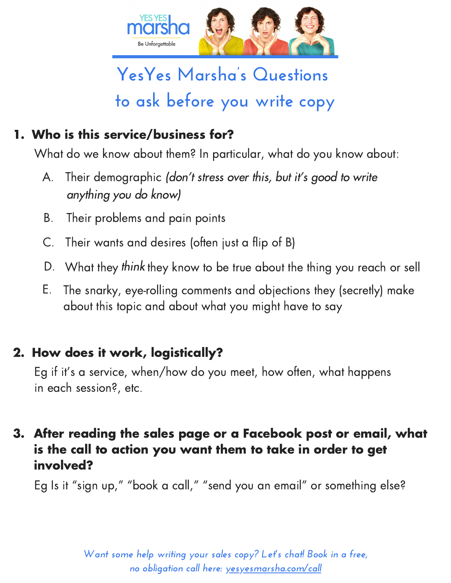

## **YesYes Marsha's Questions to ask before you write copy**

## 1. Who is this service/business for?

What do we know about them? In particular, what do you know about:

- A. Their demographic (don't stress over this, but it's good to write anything you do know)
- B. Their problems and pain points
- C. Their wants and desires (often just a flip of B)
- D. What they think they know to be true about the thing you reach or sell
- E. The snarky, eye-rolling comments and objections they (secretly) make about this topic and about what you might have to say

## 2. How does it work, logistically?

Eg if it' s a service, when/how do you meet, how often, what happens in each session?, etc.

## After reading the sales page or a Facebook post or email, what 3. is the call to action you want them to take in order to get involved?

Eg Is it "sign up," "book a call," "send you an email" or something else?

*Want some help writing your sales copy? Let's chat! Book in a free, no obligation call here: [yesyesmarsha.com/call](http://www.yesyesmarsha.com/call)*